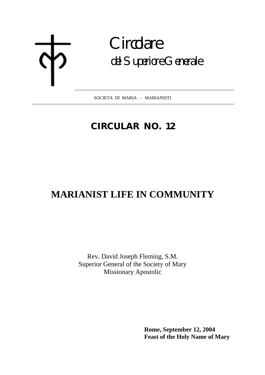# **Circolare** del Superiore Generale

SOCIETA DI MARIA - MARIANISTI  $\overline{a}$ 

## **CIRCULAR NO. 12**

## **MARIANIST LIFE IN COMMUNITY**

Rev. David Joseph Fleming, S.M. Superior General of the Society of Mary Missionary Apostolic

> **Rome, September 12, 2004 Feast of the Holy Name of Mary**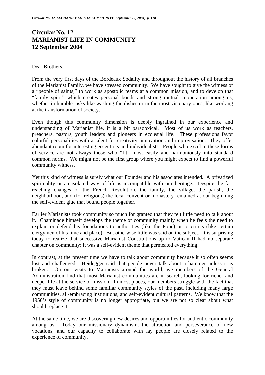### **Circular No. 12 MARIANIST LIFE IN COMMUNITY 12 September 2004**

#### Dear Brothers,

From the very first days of the Bordeaux Sodality and throughout the history of all branches of the Marianist Family, we have stressed community. We have sought to give the witness of a "people of saints," to work as apostolic teams at a common mission, and to develop that "family spirit" which creates personal bonds and strong mutual cooperation among us, whether in humble tasks like washing the dishes or in the most visionary ones, like working at the transformation of society.

Even though this community dimension is deeply ingrained in our experience and understanding of Marianist life, it is a bit paradoxical. Most of us work as teachers, preachers, pastors, youth leaders and pioneers in ecclesial life. These professions favor colorful personalities with a talent for creativity, innovation and improvisation. They offer abundant room for interesting eccentrics and individualists. People who excel in these forms of service are not always those who "fit" most easily and harmoniously into standard common norms. We might not be the first group where you might expect to find a powerful community witness.

Yet this kind of witness is surely what our Founder and his associates intended. A privatized spirituality or an isolated way of life is incompatible with our heritage. Despite the farreaching changes of the French Revolution, the family, the village, the parish, the neighborhood, and (for religious) the local convent or monastery remained at our beginning the self-evident glue that bound people together.

Earlier Marianists took community so much for granted that they felt little need to talk about it. Chaminade himself develops the theme of community mainly when he feels the need to explain or defend his foundations to authorities (like the Pope) or to critics (like certain clergymen of his time and place). But otherwise little was said on the subject. It is surprising today to realize that successive Marianist Constitutions up to Vatican II had no separate chapter on community; it was a self-evident theme that permeated everything.

In contrast, at the present time we have to talk about community because it so often seems lost and challenged. Heidegger said that people never talk about a hammer unless it is broken. On our visits to Marianists around the world, we members of the General Administration find that most Marianist communities are in search, looking for richer and deeper life at the service of mission. In most places, our members struggle with the fact that they must leave behind some familiar community styles of the past, including many large communities, all-embracing institutions, and self-evident cultural patterns. We know that the 1950's style of community is no longer appropriate, but we are not so clear about what should replace it.

At the same time, we are discovering new desires and opportunities for authentic community among us. Today our missionary dynamism, the attraction and perseverance of new vocations, and our capacity to collaborate with lay people are closely related to the experience of community.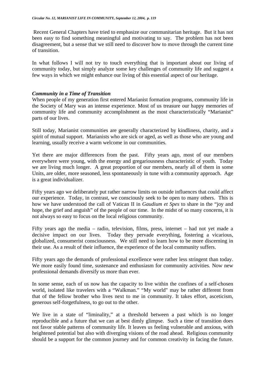Recent General Chapters have tried to emphasize our communitarian heritage. But it has not been easy to find something meaningful and motivating to say. The problem has not been disagreement, but a sense that we still need to discover how to move through the current time of transition.

In what follows I will not try to touch everything that is important about our living of community today, but simply analyze some key challenges of community life and suggest a few ways in which we might enhance our living of this essential aspect of our heritage.

#### *Community in a Time of Transition*

When people of my generation first entered Marianist formation programs, community life in the Society of Mary was an intense experience. Most of us treasure our happy memories of community life and community accomplishment as the most characteristically "Marianist" parts of our lives.

Still today, Marianist communities are generally characterized by kindliness, charity, and a spirit of mutual support. Marianists who are sick or aged, as well as those who are young and learning, usually receive a warm welcome in our communities.

Yet there are major differences from the past. Fifty years ago, most of our members everywhere were young, with the energy and gregariousness characteristic of youth. Today we are living much longer. A great proportion of our members, nearly all of them in some Units, are older, more seasoned, less spontaneously in tune with a community approach. Age is a great individualizer.

Fifty years ago we deliberately put rather narrow limits on outside influences that could affect our experience. Today, in contrast, we consciously seek to be open to many others. This is how we have understood the call of Vatican II in *Gaudium et Spes* to share in the "joy and hope, the grief and anguish" of the people of our time. In the midst of so many concerns, it is not always so easy to focus on the local religious community.

Fifty years ago the media – radio, television, films, press, internet – had not yet made a decisive impact on our lives. Today they pervade everything, fostering a vicarious, globalized, consumerist consciousness. We still need to learn how to be more discerning in their use. As a result of their influence, the experience of the local community suffers.

Fifty years ago the demands of professional excellence were rather less stringent than today. We more easily found time, sustenance and enthusiasm for community activities. Now new professional demands diversify us more than ever.

In some sense, each of us now has the capacity to live within the confines of a self-chosen world, isolated like travelers with a "Walkman." "My world" may be rather different from that of the fellow brother who lives next to me in community. It takes effort, asceticism, generous self-forgetfulness, to go out to the other.

We live in a state of "liminality," at a threshold between a past which is no longer reproducible and a future that we can at best dimly glimpse. Such a time of transition does not favor stable patterns of community life. It leaves us feeling vulnerable and anxious, with heightened potential but also with diverging visions of the road ahead. Religious community should be a support for the common journey and for common creativity in facing the future.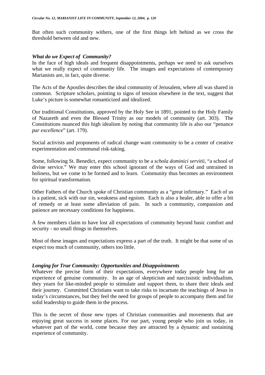But often such community withers, one of the first things left behind as we cross the threshold between old and new.

#### *What do we Expect of Community?*

In the face of high ideals and frequent disappointments, perhaps we need to ask ourselves what we really expect of community life. The images and expectations of contemporary Marianists are, in fact, quite diverse.

The Acts of the Apostles describes the ideal community of Jerusalem, where all was shared in common. Scripture scholars, pointing to signs of tension elsewhere in the text, suggest that Luke's picture is somewhat romanticized and idealized.

Our traditional Constitutions, approved by the Holy See in 1891, pointed to the Holy Family of Nazareth and even the Blessed Trinity as our models of community (art. 303). The Constitutions nuanced this high idealism by noting that community life is also our "penance *par excellence*" (art. 179).

Social activists and proponents of radical change want community to be a center of creative experimentation and communal risk-taking.

Some, following St. Benedict, expect community to be a *schola dominici servitii,* "a school of divine service." We may enter this school ignorant of the ways of God and untrained in holiness, but we come to be formed and to learn. Community thus becomes an environment for spiritual transformation.

Other Fathers of the Church spoke of Christian community as a "great infirmary." Each of us is a patient, sick with our sin, weakness and egoism. Each is also a healer, able to offer a bit of remedy or at least some alleviation of pain. In such a community, compassion and patience are necessary conditions for happiness.

A few members claim to have lost all expectations of community beyond basic comfort and security - no small things in themselves.

Most of these images and expectations express a part of the truth. It might be that some of us expect too much of community, others too little.

#### *Longing for True Community: Opportunities and Disappointments*

Whatever the precise form of their expectations, everywhere today people long for an experience of genuine community. In an age of skepticism and narcissistic individualism, they yearn for like-minded people to stimulate and support them, to share their ideals and their journey. Committed Christians want to take risks to incarnate the teachings of Jesus in today's circumstances, but they feel the need for groups of people to accompany them and for solid leadership to guide them in the process.

This is the secret of those new types of Christian communities and movements that are enjoying great success in some places. For our part, young people who join us today, in whatever part of the world, come because they are attracted by a dynamic and sustaining experience of community.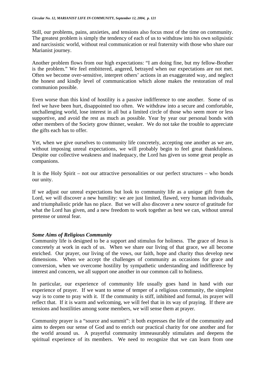Still, our problems, pains, anxieties, and tensions also focus most of the time on community. The greatest problem is simply the tendency of each of us to withdraw into his own solipsistic and narcissistic world, without real communication or real fraternity with those who share our Marianist journey.

Another problem flows from our high expectations: "I am doing fine, but my fellow-Brother is the problem." We feel embittered, angered, betrayed when our expectations are not met. Often we become over-sensitive, interpret others' actions in an exaggerated way, and neglect the honest and kindly level of communication which alone makes the restoration of real communion possible.

Even worse than this kind of hostility is a passive indifference to one another. Some of us feel we have been hurt, disappointed too often. We withdraw into a secure and comfortable, unchallenging world, lose interest in all but a limited circle of those who seem more or less supportive, and avoid the rest as much as possible. Year by year our personal bonds with other members of the Society grow thinner, weaker. We do not take the trouble to appreciate the gifts each has to offer.

Yet, when we give ourselves to community life concretely, accepting one another as we are, without imposing unreal expectations, we will probably begin to feel great thankfulness. Despite our collective weakness and inadequacy, the Lord has given us some great people as companions.

It is the Holy Spirit – not our attractive personalities or our perfect structures – who bonds our unity.

If we adjust our unreal expectations but look to community life as a unique gift from the Lord, we will discover a new humility: we are just limited, flawed, very human individuals, and triumphalistic pride has no place. But we will also discover a new source of gratitude for what the Lord has given, and a new freedom to work together as best we can, without unreal pretense or unreal fear.

#### *Some Aims of Religious Community*

Community life is designed to be a support and stimulus for holiness. The grace of Jesus is concretely at work in each of us. When we share our living of that grace, we all become enriched. Our prayer, our living of the vows, our faith, hope and charity thus develop new dimensions. When we accept the challenges of community as occasions for grace and conversion, when we overcome hostility by sympathetic understanding and indifference by interest and concern, we all support one another in our common call to holiness.

In particular, our experience of community life usually goes hand in hand with our experience of prayer. If we want to sense of temper of a religious community, the simplest way is to come to pray with it. If the community is stiff, inhibited and formal, its prayer will reflect that. If it is warm and welcoming, we will feel that in its way of praying. If there are tensions and hostilities among some members, we will sense them at prayer.

Community prayer is a "source and summit": it both expresses the life of the community and aims to deepen our sense of God and to enrich our practical charity for one another and for the world around us. A prayerful community immeasurably stimulates and deepens the spiritual experience of its members. We need to recognize that we can learn from one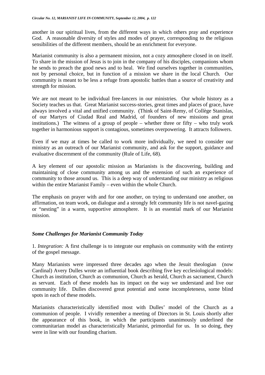another in our spiritual lives, from the different ways in which others pray and experience God. A reasonable diversity of styles and modes of prayer, corresponding to the religious sensibilities of the different members, should be an enrichment for everyone.

Marianist community is also a permanent mission, not a cozy atmosphere closed in on itself. To share in the mission of Jesus is to join in the company of his disciples, companions whom he sends to preach the good news and to heal. We find ourselves together in communities, not by personal choice, but in function of a mission we share in the local Church. Our community is meant to be less a refuge from apostolic battles than a source of creativity and strength for mission.

We are not meant to be individual free-lancers in our ministries. Our whole history as a Society teaches us that. Great Marianist success-stories, great times and places of grace, have always involved a vital and unified community. (Think of Saint-Remy, of Collège Stanislas, of our Martyrs of Ciudad Real and Madrid, of founders of new missions and great institutions.) The witness of a group of people – whether three or fifty – who truly work together in harmonious support is contagious, sometimes overpowering. It attracts followers.

Even if we may at times be called to work more individually, we need to consider our ministry as an outreach of our Marianist community, and ask for the support, guidance and evaluative discernment of the community (Rule of Life, 68).

A key element of our apostolic mission as Marianists is the discovering, building and maintaining of close community among us and the extension of such an experience of community to those around us. This is a deep way of understanding our ministry as religious within the entire Marianist Family – even within the whole Church.

The emphasis on prayer with and for one another, on trying to understand one another, on affirmation, on team work, on dialogue and a strongly felt community life is not navel-gazing or "nesting" in a warm, supportive atmosphere. It is an essential mark of our Marianist mission.

#### *Some Challenges for Marianist Community Today*

1. *Integration:* A first challenge is to integrate our emphasis on community with the entirety of the gospel message.

Many Marianists were impressed three decades ago when the Jesuit theologian (now Cardinal) Avery Dulles wrote an influential book describing five key ecclesiological models: Church as institution, Church as communion, Church as herald, Church as sacrament, Church as servant. Each of these models has its impact on the way we understand and live our community life. Dulles discovered great potential and some incompleteness, some blind spots in each of these models.

Marianists characteristically identified most with Dulles' model of the Church as a communion of people. I vividly remember a meeting of Directors in St. Louis shortly after the appearance of this book, in which the participants unanimously underlined the communitarian model as characteristically Marianist, primordial for us. In so doing, they were in line with our founding charism.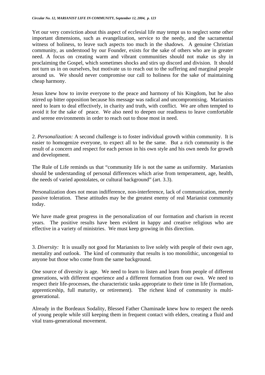Yet our very conviction about this aspect of ecclesial life may tempt us to neglect some other important dimensions, such as evangelization, service to the needy, and the sacramental witness of holiness, to leave such aspects too much in the shadows. A genuine Christian community, as understood by our Founder, exists for the sake of others who are in greater need. A focus on creating warm and vibrant communities should not make us shy in proclaiming the Gospel, which sometimes shocks and stirs up discord and division. It should not turn us in on ourselves, but motivate us to reach out to the suffering and marginal people around us. We should never compromise our call to holiness for the sake of maintaining cheap harmony.

Jesus knew how to invite everyone to the peace and harmony of his Kingdom, but he also stirred up bitter opposition because his message was radical and uncompromising. Marianists need to learn to deal effectively, in charity and truth, with conflict. We are often tempted to avoid it for the sake of peace. We also need to deepen our readiness to leave comfortable and serene environments in order to reach out to those most in need.

2. *Personalization:* A second challenge is to foster individual growth within community. It is easier to homogenize everyone, to expect all to be the same. But a rich community is the result of a concern and respect for each person in his own style and his own needs for growth and development.

The Rule of Life reminds us that "community life is not the same as uniformity. Marianists should be understanding of personal differences which arise from temperament, age, health, the needs of varied apostolates, or cultural background" (art. 3.3).

Personalization does not mean indifference, non-interference, lack of communication, merely passive toleration. These attitudes may be the greatest enemy of real Marianist community today.

We have made great progress in the personalization of our formation and charism in recent years. The positive results have been evident in happy and creative religious who are effective in a variety of ministries. We must keep growing in this direction.

3. *Diversity:* It is usually not good for Marianists to live solely with people of their own age, mentality and outlook. The kind of community that results is too monolithic, uncongenial to anyone but those who come from the same background.

One source of diversity is age. We need to learn to listen and learn from people of different generations, with different experience and a different formation from our own. We need to respect their life-processes, the characteristic tasks appropriate to their time in life (formation, apprenticeship, full maturity, or retirement). The richest kind of community is multigenerational.

Already in the Bordeaux Sodality, Blessed Father Chaminade knew how to respect the needs of young people while still keeping them in frequent contact with elders, creating a fluid and vital trans-generational movement.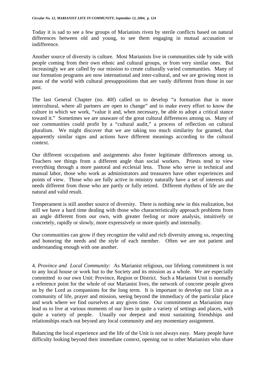Today it is sad to see a few groups of Marianists riven by sterile conflicts based on natural differences between old and young, to see them engaging in mutual accusation or indifference.

Another source of diversity is culture. Most Marianists live in communities side by side with people coming from their own ethnic and cultural groups, or from very similar ones. But increasingly we are called by our mission to create culturally varied communities. Many of our formation programs are now international and inter-cultural, and we are growing most in areas of the world with cultural presuppositions that are vastly different from those in our past.

The last General Chapter (no. 40f) called us to develop "a formation that is more intercultural, where all partners are open to change" and to make every effort to know the culture in which we work, "value it and, when necessary, be able to adopt a critical stance toward it." Sometimes we are unaware of the great cultural differences among us. Many of our communities could profit by a "cultural audit," a process of reflection on cultural pluralism. We might discover that we are taking too much similarity for granted, that apparently similar signs and actions have different meanings according to the cultural context.

Our different occupations and assignments also foster legitimate differences among us. Teachers see things from a different angle than social workers. Priests tend to view everything through a more pastoral and ecclesial lens. Those who serve in technical and manual labor, those who work as administrators and treasurers have other experiences and points of view. Those who are fully active in ministry naturally have a set of interests and needs different from those who are partly or fully retired. Different rhythms of life are the natural and valid result.

Temperament is still another source of diversity. There is nothing new in this realization, but still we have a hard time dealing with those who characteristically approach problems from an angle different from our own, with greater feeling or more analysis, intuitively or concretely, rapidly or slowly, more expressively or more quietly and internally.

Our communities can grow if they recognize the valid and rich diversity among us, respecting and honoring the needs and the style of each member. Often we are not patient and understanding enough with one another.

4*. Province and Local Community:* As Marianist religious, our lifelong commitment is not to any local house or work but to the Society and its mission as a whole. We are especially committed to our own Unit: Province, Region or District. Such a Marianist Unit is normally a reference point for the whole of our Marianist lives, the network of concrete people given us by the Lord as companions for the long term. It is important to develop our Unit as a community of life, prayer and mission, seeing beyond the immediacy of the particular place and work where we find ourselves at any given time. Our commitment as Marianists may lead us to live at various moments of our lives in quite a variety of settings and places, with quite a variety of people. Usually our deepest and most sustaining friendships and relationships reach out beyond any local community and any momentary assignment.

Balancing the local experience and the life of the Unit is not always easy. Many people have difficulty looking beyond their immediate context, opening out to other Marianists who share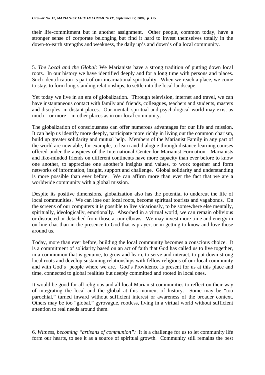their life-commitment but in another assignment. Other people, common today, have a stronger sense of corporate belonging but find it hard to invest themselves totally in the down-to-earth strengths and weakness, the daily up's and down's of a local community.

5. *The Local and the Global:* We Marianists have a strong tradition of putting down local roots. In our history we have identified deeply and for a long time with persons and places. Such identification is part of our incarnational spirituality. When we reach a place, we come to stay, to form long-standing relationships, to settle into the local landscape.

Yet today we live in an era of globalization. Through television, internet and travel, we can have instantaneous contact with family and friends, colleagues, teachers and students, masters and disciples, in distant places. Our mental, spiritual and psychological world may exist as much – or more – in other places as in our local community.

The globalization of consciousness can offer numerous advantages for our life and mission. It can help us identify more deeply, participate more richly in living out the common charism, build up greater solidarity and mutual help. Members of the Marianist Family in any part of the world are now able, for example, to learn and dialogue through distance-learning courses offered under the auspices of the International Center for Marianist Formation. Marianists and like-minded friends on different continents have more capacity than ever before to know one another, to appreciate one another's insights and values, to work together and form networks of information, insight, support and challenge. Global solidarity and understanding is more possible than ever before. We can affirm more than ever the fact that we are a worldwide community with a global mission.

Despite its positive dimensions, globalization also has the potential to undercut the life of local communities. We can lose our local roots, become spiritual tourists and vagabonds. On the screens of our computers it is possible to live vicariously, to be somewhere else mentally, spiritually, ideologically, emotionally. Absorbed in a virtual world, we can remain oblivious or distracted or detached from those at our elbows. We may invest more time and energy in on-line chat than in the presence to God that is prayer, or in getting to know and love those around us.

Today, more than ever before, building the local community becomes a conscious choice. It is a commitment of solidarity based on an act of faith that God has called us to live together, in a communion that is genuine, to grow and learn, to serve and interact, to put down strong local roots and develop sustaining relationships with fellow religious of our local community and with God's people where we are. God's Providence is present for us at this place and time, connected to global realities but deeply committed and rooted in local ones.

It would be good for all religious and all local Marianist communities to reflect on their way of integrating the local and the global at this moment of history. Some may be "too parochial," turned inward without sufficient interest or awareness of the broader context. Others may be too "global," gyrovague, rootless, living in a virtual world without sufficient attention to real needs around them.

6. *Witness, becoming "artisans of communion":* It is a challenge for us to let community life form our hearts, to see it as a source of spiritual growth. Community still remains the best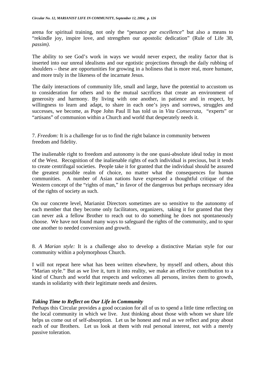arena for spiritual training, not only the "penance *par excellence*" but also a means to "rekindle joy, inspire love, and strengthen our apostolic dedication" (Rule of Life 38, *passim)*.

The ability to see God's work in ways we would never expect, the reality factor that is inserted into our unreal idealisms and our egotistic projections through the daily rubbing of shoulders – these are opportunities for growing in a holiness that is more real, more humane, and more truly in the likeness of the incarnate Jesus.

The daily interactions of community life, small and large, have the potential to accustom us to consideration for others and to the mutual sacrifices that create an environment of generosity and harmony. By living with one another, in patience and in respect, by willingness to learn and adapt, to share in each one's joys and sorrows, struggles and successes, we become, as Pope John Paul II has told us in *Vita Consecrata*, "experts" or "artisans" of communion within a Church and world that desperately needs it.

7. *Freedom:* It is a challenge for us to find the right balance in community between freedom and fidelity.

The inalienable right to freedom and autonomy is the one quasi-absolute ideal today in most of the West. Recognition of the inalienable rights of each individual is precious, but it tends to create centrifugal societies. People take it for granted that the individual should be assured the greatest possible realm of choice, no matter what the consequences for human communities. A number of Asian nations have expressed a thoughtful critique of the Western concept of the "rights of man," in favor of the dangerous but perhaps necessary idea of the rights of society as such.

On our concrete level, Marianist Directors sometimes are so sensitive to the autonomy of each member that they become only facilitators, organizers, taking it for granted that they can never ask a fellow Brother to reach out to do something he does not spontaneously choose. We have not found many ways to safeguard the rights of the community, and to spur one another to needed conversion and growth.

8. *A Marian style:* It is a challenge also to develop a distinctive Marian style for our community within a polymorphous Church.

I will not repeat here what has been written elsewhere, by myself and others, about this "Marian style." But as we live it, turn it into reality, we make an effective contribution to a kind of Church and world that respects and welcomes all persons, invites them to growth, stands in solidarity with their legitimate needs and desires.

#### *Taking Time to Reflect on Our Life in Community*

Perhaps this Circular provides a good occasion for all of us to spend a little time reflecting on the local community in which we live. Just thinking about those with whom we share life helps us come out of self-absorption. Let us be honest and real as we reflect and pray about each of our Brothers. Let us look at them with real personal interest, not with a merely passive toleration.